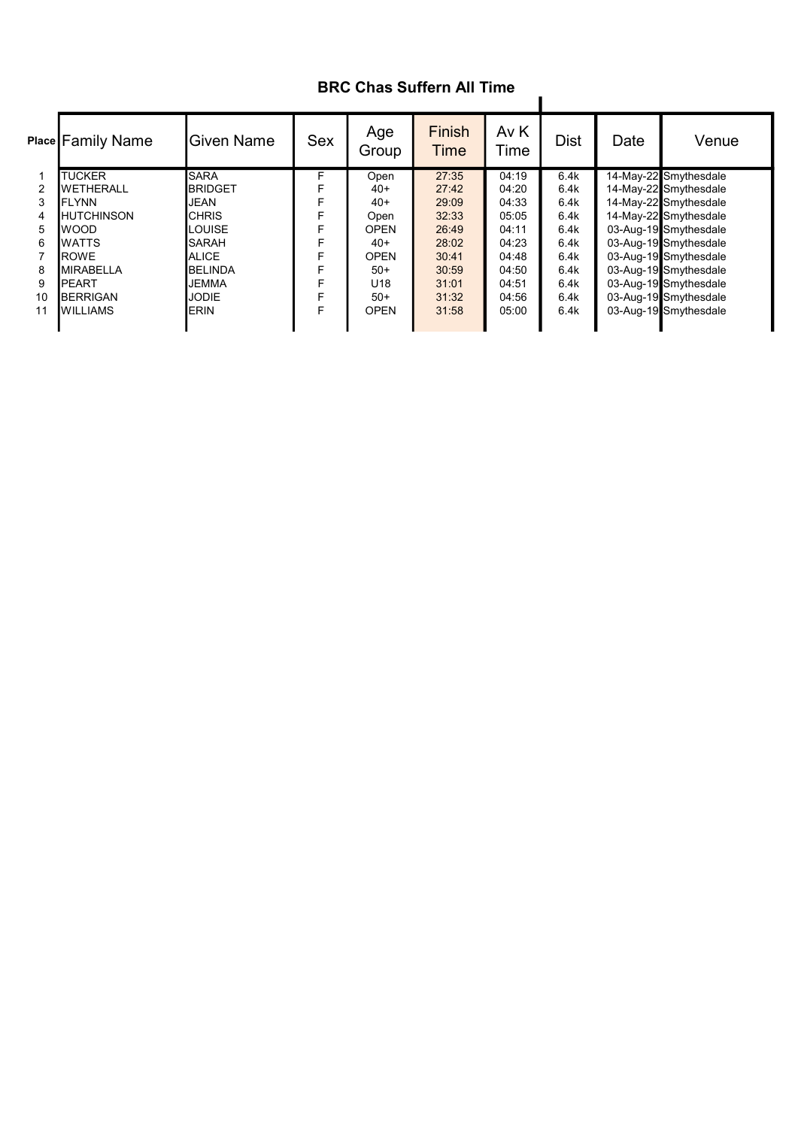## BRC Chas Suffern All Time

|    | Place Family Name  | <b>IGiven Name</b> | Sex | Age<br>Group    | Finish<br>Time | Av K<br>Time | <b>Dist</b> | Date | Venue                 |
|----|--------------------|--------------------|-----|-----------------|----------------|--------------|-------------|------|-----------------------|
|    | <b>TUCKER</b>      | <b>SARA</b>        | F.  | Open            | 27:35          | 04:19        | 6.4k        |      | 14-May-22 Smythesdale |
| 2  | <b>WETHERALL</b>   | <b>BRIDGET</b>     | F   | $40+$           | 27:42          | 04:20        | 6.4k        |      | 14-May-22 Smythesdale |
| 3  | <b>I</b> FLYNN     | <b>JEAN</b>        |     | $40+$           | 29:09          | 04:33        | 6.4k        |      | 14-May-22 Smythesdale |
| 4  | <b>IHUTCHINSON</b> | <b>CHRIS</b>       |     | Open            | 32:33          | 05:05        | 6.4k        |      | 14-May-22 Smythesdale |
| 5  | lwood              | LOUISE             |     | <b>OPEN</b>     | 26:49          | 04:11        | 6.4k        |      | 03-Aug-19 Smythesdale |
| 6  | <b>I</b> WATTS     | <b>SARAH</b>       | F   | $40+$           | 28:02          | 04:23        | 6.4k        |      | 03-Aug-19 Smythesdale |
|    | <b>ROWE</b>        | <b>ALICE</b>       |     | <b>OPEN</b>     | 30:41          | 04:48        | 6.4k        |      | 03-Aug-19 Smythesdale |
| 8  | <b>MIRABELLA</b>   | <b>BELINDA</b>     |     | $50+$           | 30:59          | 04:50        | 6.4k        |      | 03-Aug-19 Smythesdale |
| 9  | <b>IPEART</b>      | <b>JEMMA</b>       |     | U <sub>18</sub> | 31:01          | 04:51        | 6.4k        |      | 03-Aug-19 Smythesdale |
| 10 | <b>BERRIGAN</b>    | <b>JODIE</b>       | F   | $50+$           | 31:32          | 04:56        | 6.4k        |      | 03-Aug-19 Smythesdale |
| 11 | <b>I</b> WILLIAMS  | <b>ERIN</b>        | F   | <b>OPEN</b>     | 31:58          | 05:00        | 6.4k        |      | 03-Aug-19 Smythesdale |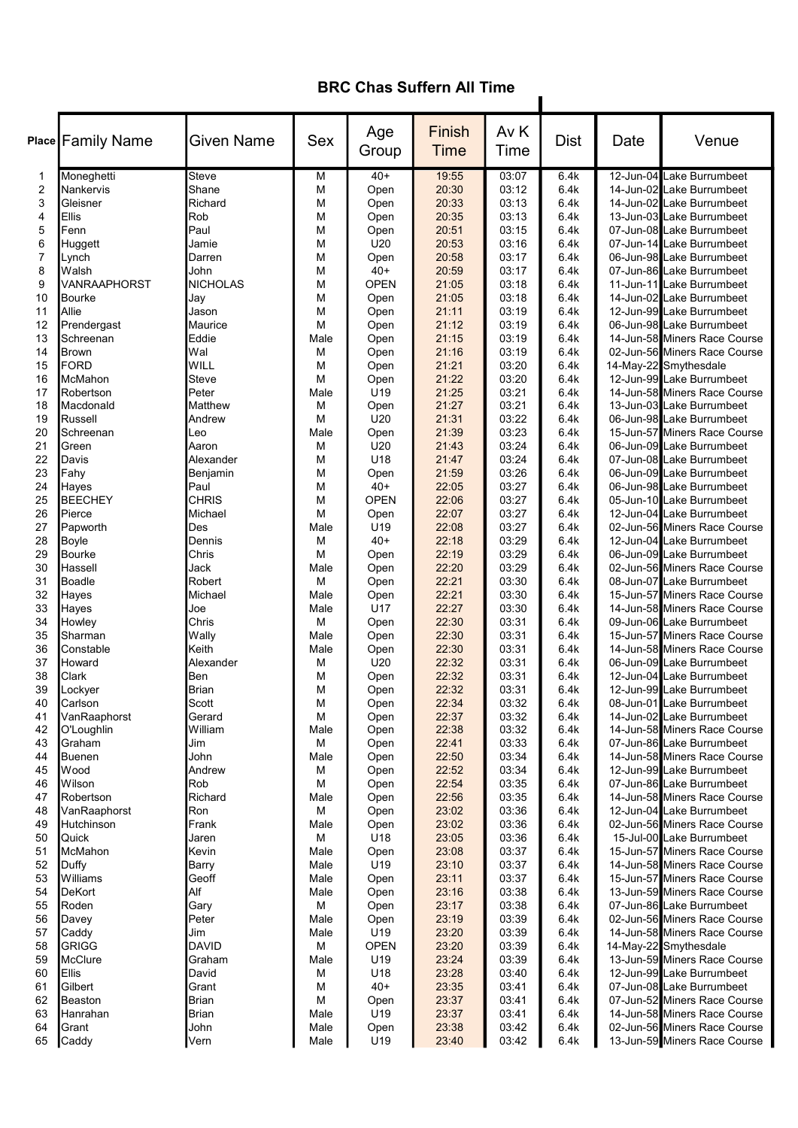## BRC Chas Suffern All Time

 $\blacksquare$ 

|                | <b>Place Family Name</b> | <b>Given Name</b> | Sex       | Age<br>Group    | Finish<br><b>Time</b> | Av K<br>Time   | <b>Dist</b>  | Date | Venue                                                     |
|----------------|--------------------------|-------------------|-----------|-----------------|-----------------------|----------------|--------------|------|-----------------------------------------------------------|
| 1              | Moneghetti               | Steve             | M         | $40+$           | 19:55                 | 03:07          | 6.4k         |      | 12-Jun-04 Lake Burrumbeet                                 |
| $\overline{2}$ | Nankervis                | Shane             | M         | Open            | 20:30                 | 03:12          | 6.4k         |      | 14-Jun-02 Lake Burrumbeet                                 |
| 3              | Gleisner                 | Richard           | М         | Open            | 20:33                 | 03:13          | 6.4k         |      | 14-Jun-02 Lake Burrumbeet                                 |
| 4              | Ellis                    | Rob               | М         | Open            | 20:35                 | 03:13          | 6.4k         |      | 13-Jun-03 Lake Burrumbeet                                 |
| 5              | Fenn                     | Paul              | M         | Open            | 20:51                 | 03:15          | 6.4k         |      | 07-Jun-08 Lake Burrumbeet                                 |
| 6              | Huggett                  | Jamie             | М         | U20             | 20:53                 | 03:16          | 6.4k         |      | 07-Jun-14 Lake Burrumbeet                                 |
| $\overline{7}$ | Lynch                    | Darren            | М         | Open            | 20:58                 | 03:17          | 6.4k         |      | 06-Jun-98 Lake Burrumbeet                                 |
| 8              | Walsh                    | John              | M         | $40+$           | 20:59                 | 03:17          | 6.4k         |      | 07-Jun-86 Lake Burrumbeet                                 |
| 9              | VANRAAPHORST             | <b>NICHOLAS</b>   | M         | <b>OPEN</b>     | 21:05                 | 03:18          | 6.4k         |      | 11-Jun-11 Lake Burrumbeet                                 |
| 10             | Bourke                   | Jay               | М         | Open            | 21:05                 | 03:18          | 6.4k         |      | 14-Jun-02 Lake Burrumbeet                                 |
| 11<br>12       | Allie<br>Prendergast     | Jason<br>Maurice  | М<br>М    | Open            | 21:11<br>21:12        | 03:19<br>03:19 | 6.4k<br>6.4k |      | 12-Jun-99 Lake Burrumbeet<br>06-Jun-98 Lake Burrumbeet    |
| 13             | Schreenan                | Eddie             | Male      | Open<br>Open    | 21:15                 | 03:19          | 6.4k         |      | 14-Jun-58 Miners Race Course                              |
| 14             | Brown                    | Wal               | M         | Open            | 21:16                 | 03:19          | 6.4k         |      | 02-Jun-56 Miners Race Course                              |
| 15             | FORD                     | WILL              | M         | Open            | 21:21                 | 03:20          | 6.4k         |      | 14-May-22 Smythesdale                                     |
| 16             | McMahon                  | <b>Steve</b>      | M         | Open            | 21:22                 | 03:20          | 6.4k         |      | 12-Jun-99 Lake Burrumbeet                                 |
| 17             | Robertson                | Peter             | Male      | U <sub>19</sub> | 21:25                 | 03:21          | 6.4k         |      | 14-Jun-58 Miners Race Course                              |
| 18             | Macdonald                | Matthew           | M         | Open            | 21:27                 | 03:21          | 6.4k         |      | 13-Jun-03 Lake Burrumbeet                                 |
| 19             | Russell                  | Andrew            | M         | U20             | 21:31                 | 03:22          | 6.4k         |      | 06-Jun-98 Lake Burrumbeet                                 |
| 20             | Schreenan                | Leo               | Male      | Open            | 21:39                 | 03:23          | 6.4k         |      | 15-Jun-57 Miners Race Course                              |
| 21             | Green                    | Aaron             | M         | U20             | 21:43                 | 03:24          | 6.4k         |      | 06-Jun-09 Lake Burrumbeet                                 |
| 22             | Davis                    | Alexander         | M         | U18             | 21:47                 | 03:24          | 6.4k         |      | 07-Jun-08 Lake Burrumbeet                                 |
| 23             | Fahy                     | Benjamin          | M         | Open            | 21:59                 | 03:26          | 6.4k         |      | 06-Jun-09 Lake Burrumbeet                                 |
| 24             | Hayes                    | Paul              | M         | $40+$           | 22:05                 | 03:27          | 6.4k         |      | 06-Jun-98 Lake Burrumbeet                                 |
| 25             | <b>BEECHEY</b>           | <b>CHRIS</b>      | M         | <b>OPEN</b>     | 22:06                 | 03:27          | 6.4k         |      | 05-Jun-10 Lake Burrumbeet                                 |
| 26             | Pierce                   | Michael           | М         | Open            | 22:07                 | 03:27          | 6.4k         |      | 12-Jun-04 Lake Burrumbeet                                 |
| 27             | Papworth                 | Des               | Male      | U19             | 22:08                 | 03:27          | 6.4k         |      | 02-Jun-56 Miners Race Course                              |
| 28             | Boyle                    | Dennis            | М         | $40+$           | 22:18                 | 03:29          | 6.4k         |      | 12-Jun-04 Lake Burrumbeet                                 |
| 29             | <b>Bourke</b>            | Chris             | М         | Open            | 22:19                 | 03:29          | 6.4k         |      | 06-Jun-09 Lake Burrumbeet                                 |
| 30             | Hassell                  | Jack              | Male      | Open            | 22:20                 | 03:29          | 6.4k         |      | 02-Jun-56 Miners Race Course                              |
| 31             | Boadle                   | Robert            | M         | Open            | 22:21                 | 03:30          | 6.4k         |      | 08-Jun-07 Lake Burrumbeet                                 |
| 32             | Hayes                    | Michael           | Male      | Open            | 22:21                 | 03:30          | 6.4k         |      | 15-Jun-57 Miners Race Course                              |
| 33             | Hayes                    | Joe               | Male      | U17             | 22:27                 | 03:30          | 6.4k         |      | 14-Jun-58 Miners Race Course                              |
| 34             | Howley                   | Chris             | M         | Open            | 22:30                 | 03:31          | 6.4k         |      | 09-Jun-06 Lake Burrumbeet                                 |
| 35             | lSharman                 | Wally             | Male      | Open            | 22:30                 | 03:31          | 6.4k         |      | 15-Jun-57 Miners Race Course                              |
| 36             | Constable                | Keith             | Male      | Open            | 22:30                 | 03:31          | 6.4k         |      | 14-Jun-58 Miners Race Course                              |
| 37             | Howard                   | Alexander         | M         | U20             | 22:32                 | 03:31          | 6.4k         |      | 06-Jun-09 Lake Burrumbeet                                 |
| 38             | Clark                    | Ben               | М         | Open            | 22:32                 | 03:31          | 6.4k         |      | 12-Jun-04 Lake Burrumbeet                                 |
| 39             | Lockyer                  | Brian             | М         | Open            | 22:32                 | 03:31          | 6.4k         |      | 12-Jun-99 Lake Burrumbeet                                 |
| 40             | Carlson                  | Scott             | M         | Open            | 22:34                 | 03:32          | 6.4k         |      | 08-Jun-01 Lake Burrumbeet                                 |
| 41<br>42       | VanRaaphorst             | Gerard<br>William | М         | Open            | 22:37                 | 03:32          | 6.4k         |      | 14-Jun-02 Lake Burrumbeet<br>14-Jun-58 Miners Race Course |
| 43             | O'Loughlin<br>Graham     | Jim               | Male<br>M | Open<br>Open    | 22:38<br>22:41        | 03:32<br>03:33 | 6.4k<br>6.4k |      | 07-Jun-86 Lake Burrumbeet                                 |
| 44             | Buenen                   | John              | Male      | Open            | 22:50                 | 03:34          | 6.4k         |      | 14-Jun-58 Miners Race Course                              |
| 45             | Wood                     | Andrew            | M         | Open            | 22:52                 | 03:34          | 6.4k         |      | 12-Jun-99 Lake Burrumbeet                                 |
| 46             | Wilson                   | Rob               | M         | Open            | 22:54                 | 03:35          | 6.4k         |      | 07-Jun-86 Lake Burrumbeet                                 |
| 47             | Robertson                | Richard           | Male      | Open            | 22:56                 | 03:35          | 6.4k         |      | 14-Jun-58 Miners Race Course                              |
| 48             | VanRaaphorst             | Ron               | М         | Open            | 23:02                 | 03:36          | 6.4k         |      | 12-Jun-04 Lake Burrumbeet                                 |
| 49             | Hutchinson               | Frank             | Male      | Open            | 23:02                 | 03:36          | 6.4k         |      | 02-Jun-56 Miners Race Course                              |
| 50             | Quick                    | Jaren             | М         | U18             | 23:05                 | 03:36          | 6.4k         |      | 15-Jul-00 Lake Burrumbeet                                 |
| 51             | McMahon                  | Kevin             | Male      | Open            | 23:08                 | 03:37          | 6.4k         |      | 15-Jun-57 Miners Race Course                              |
| 52             | Duffy                    | <b>Barry</b>      | Male      | U19             | 23:10                 | 03:37          | 6.4k         |      | 14-Jun-58 Miners Race Course                              |
| 53             | Williams                 | Geoff             | Male      | Open            | 23:11                 | 03:37          | 6.4k         |      | 15-Jun-57 Miners Race Course                              |
| 54             | DeKort                   | Alf               | Male      | Open            | 23:16                 | 03:38          | 6.4k         |      | 13-Jun-59 Miners Race Course                              |
| 55             | Roden                    | Gary              | М         | Open            | 23:17                 | 03:38          | 6.4k         |      | 07-Jun-86 Lake Burrumbeet                                 |
| 56             | Davey                    | Peter             | Male      | Open            | 23:19                 | 03:39          | 6.4k         |      | 02-Jun-56 Miners Race Course                              |
| 57             | Caddy                    | Jim               | Male      | U19             | 23:20                 | 03:39          | 6.4k         |      | 14-Jun-58 Miners Race Course                              |
| 58             | GRIGG                    | <b>DAVID</b>      | М         | <b>OPEN</b>     | 23:20                 | 03:39          | 6.4k         |      | 14-May-22 Smythesdale                                     |
| 59             | McClure                  | Graham            | Male      | U19             | 23:24                 | 03:39          | 6.4k         |      | 13-Jun-59 Miners Race Course                              |
| 60             | Ellis                    | David             | M         | U18             | 23:28                 | 03:40          | 6.4k         |      | 12-Jun-99 Lake Burrumbeet                                 |
| 61             | Gilbert                  | Grant             | М         | $40+$           | 23:35                 | 03:41          | 6.4k         |      | 07-Jun-08 Lake Burrumbeet                                 |
| 62             | Beaston                  | <b>Brian</b>      | M         | Open            | 23:37                 | 03:41          | 6.4k         |      | 07-Jun-52 Miners Race Course                              |
| 63             | Hanrahan                 | <b>Brian</b>      | Male      | U19             | 23:37                 | 03:41          | 6.4k         |      | 14-Jun-58 Miners Race Course                              |
| 64             | Grant                    | John              | Male      | Open            | 23:38                 | 03:42          | 6.4k         |      | 02-Jun-56 Miners Race Course                              |
| 65             | Caddy                    | Vern              | Male      | U19             | 23:40                 | 03:42          | 6.4k         |      | 13-Jun-59 Miners Race Course                              |